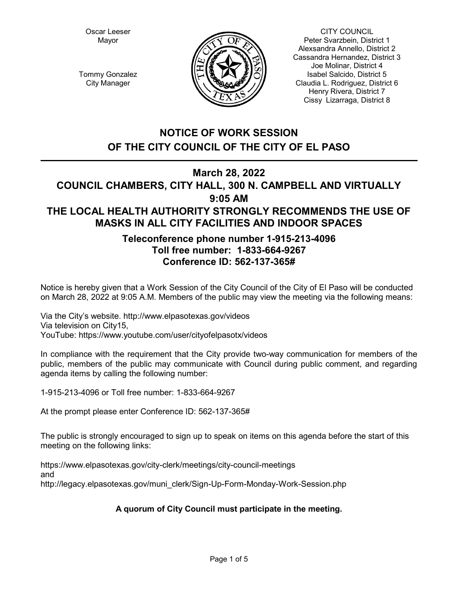Oscar Leeser Mayor



CITY COUNCIL Peter Svarzbein, District 1 Alexsandra Annello, District 2 Cassandra Hernandez, District 3 Joe Molinar, District 4 Isabel Salcido, District 5 Claudia L. Rodriguez, District 6 Henry Rivera, District 7 Cissy Lizarraga, District 8

Tommy Gonzalez City Manager

# **NOTICE OF WORK SESSION OF THE CITY COUNCIL OF THE CITY OF EL PASO**

# **March 28, 2022**

# **COUNCIL CHAMBERS, CITY HALL, 300 N. CAMPBELL AND VIRTUALLY 9:05 AM THE LOCAL HEALTH AUTHORITY STRONGLY RECOMMENDS THE USE OF MASKS IN ALL CITY FACILITIES AND INDOOR SPACES**

## **Teleconference phone number 1-915-213-4096 Toll free number: 1-833-664-9267 Conference ID: 562-137-365#**

Notice is hereby given that a Work Session of the City Council of the City of El Paso will be conducted on March 28, 2022 at 9:05 A.M. Members of the public may view the meeting via the following means:

Via the City's website. http://www.elpasotexas.gov/videos Via television on City15, YouTube: https://www.youtube.com/user/cityofelpasotx/videos

In compliance with the requirement that the City provide two-way communication for members of the public, members of the public may communicate with Council during public comment, and regarding agenda items by calling the following number:

1-915-213-4096 or Toll free number: 1-833-664-9267

At the prompt please enter Conference ID: 562-137-365#

The public is strongly encouraged to sign up to speak on items on this agenda before the start of this meeting on the following links:

https://www.elpasotexas.gov/city-clerk/meetings/city-council-meetings and http://legacy.elpasotexas.gov/muni\_clerk/Sign-Up-Form-Monday-Work-Session.php

## **A quorum of City Council must participate in the meeting.**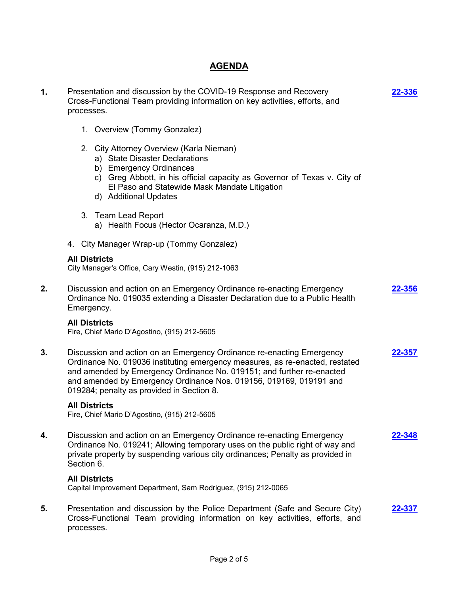## **AGENDA**

| 1. | Presentation and discussion by the COVID-19 Response and Recovery<br>Cross-Functional Team providing information on key activities, efforts, and<br>processes.                                                                                                                                                                                    | 22-336 |
|----|---------------------------------------------------------------------------------------------------------------------------------------------------------------------------------------------------------------------------------------------------------------------------------------------------------------------------------------------------|--------|
|    | 1. Overview (Tommy Gonzalez)                                                                                                                                                                                                                                                                                                                      |        |
|    | 2. City Attorney Overview (Karla Nieman)<br>a) State Disaster Declarations<br>b) Emergency Ordinances<br>c) Greg Abbott, in his official capacity as Governor of Texas v. City of<br>El Paso and Statewide Mask Mandate Litigation<br>d) Additional Updates                                                                                       |        |
|    | 3. Team Lead Report<br>a) Health Focus (Hector Ocaranza, M.D.)                                                                                                                                                                                                                                                                                    |        |
|    | 4. City Manager Wrap-up (Tommy Gonzalez)                                                                                                                                                                                                                                                                                                          |        |
|    | <b>All Districts</b><br>City Manager's Office, Cary Westin, (915) 212-1063                                                                                                                                                                                                                                                                        |        |
| 2. | Discussion and action on an Emergency Ordinance re-enacting Emergency<br>Ordinance No. 019035 extending a Disaster Declaration due to a Public Health<br>Emergency.                                                                                                                                                                               | 22-356 |
|    | <b>All Districts</b><br>Fire, Chief Mario D'Agostino, (915) 212-5605                                                                                                                                                                                                                                                                              |        |
| 3. | Discussion and action on an Emergency Ordinance re-enacting Emergency<br>Ordinance No. 019036 instituting emergency measures, as re-enacted, restated<br>and amended by Emergency Ordinance No. 019151; and further re-enacted<br>and amended by Emergency Ordinance Nos. 019156, 019169, 019191 and<br>019284; penalty as provided in Section 8. | 22-357 |
|    | <b>All Districts</b><br>Fire, Chief Mario D'Agostino, (915) 212-5605                                                                                                                                                                                                                                                                              |        |
| 4. | Discussion and action on an Emergency Ordinance re-enacting Emergency<br>Ordinance No. 019241; Allowing temporary uses on the public right of way and<br>private property by suspending various city ordinances; Penalty as provided in<br>Section 6.                                                                                             | 22-348 |
|    | <b>All Districts</b><br>Capital Improvement Department, Sam Rodriguez, (915) 212-0065                                                                                                                                                                                                                                                             |        |
| 5. | Presentation and discussion by the Police Department (Safe and Secure City)<br>Cross-Functional Team providing information on key activities, efforts, and<br>processes.                                                                                                                                                                          | 22-337 |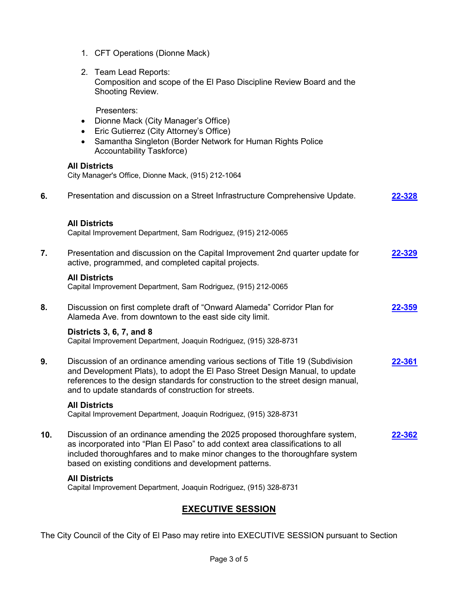- 1. CFT Operations (Dionne Mack)
- 2. Team Lead Reports: Composition and scope of the El Paso Discipline Review Board and the Shooting Review.

Presenters:

- · Dionne Mack (City Manager's Office)
- · Eric Gutierrez (City Attorney's Office)
- · Samantha Singleton (Border Network for Human Rights Police Accountability Taskforce)

#### **All Districts**

City Manager's Office, Dionne Mack, (915) 212-1064

| 6.  | Presentation and discussion on a Street Infrastructure Comprehensive Update.                                                                                                                                                                                                                              | 22-328        |
|-----|-----------------------------------------------------------------------------------------------------------------------------------------------------------------------------------------------------------------------------------------------------------------------------------------------------------|---------------|
|     | <b>All Districts</b><br>Capital Improvement Department, Sam Rodriguez, (915) 212-0065                                                                                                                                                                                                                     |               |
| 7.  | Presentation and discussion on the Capital Improvement 2nd quarter update for<br>active, programmed, and completed capital projects.                                                                                                                                                                      | 22-329        |
|     | <b>All Districts</b><br>Capital Improvement Department, Sam Rodriguez, (915) 212-0065                                                                                                                                                                                                                     |               |
| 8.  | Discussion on first complete draft of "Onward Alameda" Corridor Plan for<br>Alameda Ave. from downtown to the east side city limit.                                                                                                                                                                       | <u>22-359</u> |
|     | Districts 3, 6, 7, and 8<br>Capital Improvement Department, Joaquin Rodriguez, (915) 328-8731                                                                                                                                                                                                             |               |
| 9.  | Discussion of an ordinance amending various sections of Title 19 (Subdivision<br>and Development Plats), to adopt the El Paso Street Design Manual, to update<br>references to the design standards for construction to the street design manual,<br>and to update standards of construction for streets. | 22-361        |
|     | <b>All Districts</b><br>Capital Improvement Department, Joaquin Rodriguez, (915) 328-8731                                                                                                                                                                                                                 |               |
| 10. | Discussion of an ordinance amending the 2025 proposed thoroughfare system,<br>as incorporated into "Plan El Paso" to add context area classifications to all<br>included thoroughfares and to make minor changes to the thoroughfare system<br>based on existing conditions and development patterns.     | 22-362        |
|     | <b>All Districts</b><br>Capital Improvement Department, Joaquin Rodriguez, (915) 328-8731                                                                                                                                                                                                                 |               |

## **EXECUTIVE SESSION**

The City Council of the City of El Paso may retire into EXECUTIVE SESSION pursuant to Section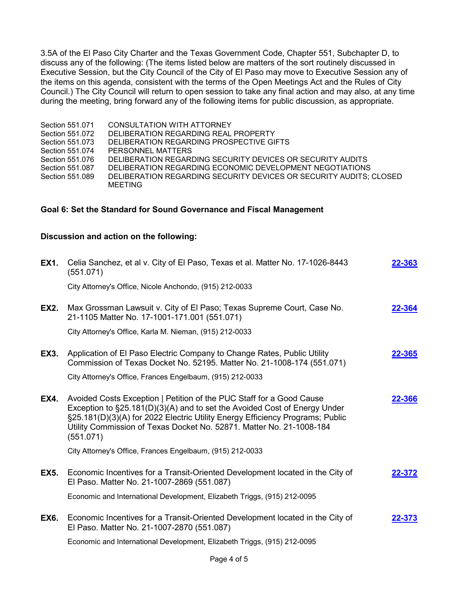3.5A of the El Paso City Charter and the Texas Government Code, Chapter 551, Subchapter D, to discuss any of the following: (The items listed below are matters of the sort routinely discussed in Executive Session, but the City Council of the City of El Paso may move to Executive Session any of the items on this agenda, consistent with the terms of the Open Meetings Act and the Rules of City Council.) The City Council will return to open session to take any final action and may also, at any time during the meeting, bring forward any of the following items for public discussion, as appropriate.

| Section 551.071 | CONSULTATION WITH ATTORNEY                                         |
|-----------------|--------------------------------------------------------------------|
| Section 551.072 | DELIBERATION REGARDING REAL PROPERTY                               |
| Section 551.073 | DELIBERATION REGARDING PROSPECTIVE GIFTS                           |
| Section 551.074 | PERSONNEL MATTERS                                                  |
| Section 551.076 | DELIBERATION REGARDING SECURITY DEVICES OR SECURITY AUDITS         |
| Section 551,087 | DELIBERATION REGARDING ECONOMIC DEVELOPMENT NEGOTIATIONS           |
| Section 551,089 | DELIBERATION REGARDING SECURITY DEVICES OR SECURITY AUDITS: CLOSED |
|                 | MEETING                                                            |

### **Goal 6: Set the Standard for Sound Governance and Fiscal Management**

### **Discussion and action on the following:**

| <b>EX1.</b> | Celia Sanchez, et al v. City of El Paso, Texas et al. Matter No. 17-1026-8443<br>(551.071)                                                                                                                                                                                                                              | 22-363 |
|-------------|-------------------------------------------------------------------------------------------------------------------------------------------------------------------------------------------------------------------------------------------------------------------------------------------------------------------------|--------|
|             | City Attorney's Office, Nicole Anchondo, (915) 212-0033                                                                                                                                                                                                                                                                 |        |
| <b>EX2.</b> | Max Grossman Lawsuit v. City of El Paso; Texas Supreme Court, Case No.<br>21-1105 Matter No. 17-1001-171.001 (551.071)                                                                                                                                                                                                  | 22-364 |
|             | City Attorney's Office, Karla M. Nieman, (915) 212-0033                                                                                                                                                                                                                                                                 |        |
| EX3.        | Application of El Paso Electric Company to Change Rates, Public Utility<br>Commission of Texas Docket No. 52195. Matter No. 21-1008-174 (551.071)                                                                                                                                                                       | 22-365 |
|             | City Attorney's Office, Frances Engelbaum, (915) 212-0033                                                                                                                                                                                                                                                               |        |
| <b>EX4.</b> | Avoided Costs Exception   Petition of the PUC Staff for a Good Cause<br>Exception to §25.181(D)(3)(A) and to set the Avoided Cost of Energy Under<br>§25.181(D)(3)(A) for 2022 Electric Utility Energy Efficiency Programs; Public<br>Utility Commission of Texas Docket No. 52871. Matter No. 21-1008-184<br>(551.071) | 22-366 |
|             | City Attorney's Office, Frances Engelbaum, (915) 212-0033                                                                                                                                                                                                                                                               |        |
| EX5.        | Economic Incentives for a Transit-Oriented Development located in the City of<br>El Paso. Matter No. 21-1007-2869 (551.087)                                                                                                                                                                                             | 22-372 |
|             | Economic and International Development, Elizabeth Triggs, (915) 212-0095                                                                                                                                                                                                                                                |        |
| <b>EX6.</b> | Economic Incentives for a Transit-Oriented Development located in the City of<br>El Paso. Matter No. 21-1007-2870 (551.087)                                                                                                                                                                                             | 22-373 |
|             | Economic and International Development, Elizabeth Triggs, (915) 212-0095                                                                                                                                                                                                                                                |        |